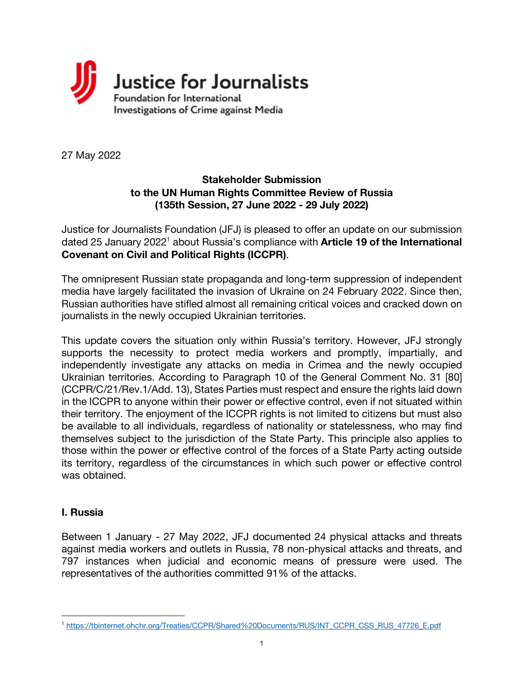

27 May 2022

#### **Stakeholder Submission to the UN Human Rights Committee Review of Russia (135th Session, 27 June 2022 - 29 July 2022)**

Justice for Journalists Foundation (JFJ) is pleased to offer an update on our submission dated 25 January 20221 about Russia's compliance with **Article 19 of the International Covenant on Civil and Political Rights (ICCPR)**.

The omnipresent Russian state propaganda and long-term suppression of independent media have largely facilitated the invasion of Ukraine on 24 February 2022. Since then, Russian authorities have stifled almost all remaining critical voices and cracked down on journalists in the newly occupied Ukrainian territories.

This update covers the situation only within Russia's territory. However, JFJ strongly supports the necessity to protect media workers and promptly, impartially, and independently investigate any attacks on media in Crimea and the newly occupied Ukrainian territories. According to Paragraph 10 of the General Comment No. 31 [80] (CCPR/C/21/Rev.1/Add. 13), States Parties must respect and ensure the rights laid down in the ICCPR to anyone within their power or effective control, even if not situated within their territory. The enjoyment of the ICCPR rights is not limited to citizens but must also be available to all individuals, regardless of nationality or statelessness, who may find themselves subject to the jurisdiction of the State Party. This principle also applies to those within the power or effective control of the forces of a State Party acting outside its territory, regardless of the circumstances in which such power or effective control was obtained.

#### **I. Russia**

Between 1 January - 27 May 2022, JFJ documented 24 physical attacks and threats against media workers and outlets in Russia, 78 non-physical attacks and threats, and 797 instances when judicial and economic means of pressure were used. The representatives of the authorities committed 91% of the attacks.

<sup>1</sup> https://tbinternet.ohchr.org/Treaties/CCPR/Shared%20Documents/RUS/INT\_CCPR\_CSS\_RUS\_47726\_E.pdf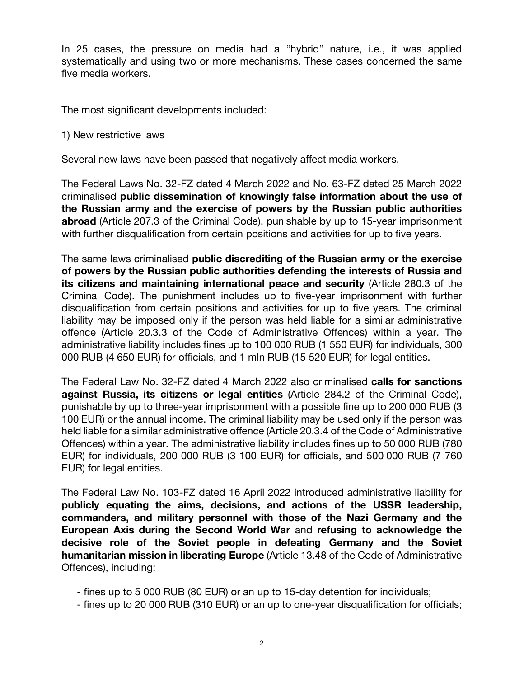In 25 cases, the pressure on media had a "hybrid" nature, i.e., it was applied systematically and using two or more mechanisms. These cases concerned the same five media workers.

The most significant developments included:

#### 1) New restrictive laws

Several new laws have been passed that negatively affect media workers.

The Federal Laws No. 32-FZ dated 4 March 2022 and No. 63-FZ dated 25 March 2022 criminalised **public dissemination of knowingly false information about the use of the Russian army and the exercise of powers by the Russian public authorities abroad** (Article 207.3 of the Criminal Code), punishable by up to 15-year imprisonment with further disqualification from certain positions and activities for up to five years.

The same laws criminalised **public discrediting of the Russian army or the exercise of powers by the Russian public authorities defending the interests of Russia and its citizens and maintaining international peace and security** (Article 280.3 of the Criminal Code). The punishment includes up to five-year imprisonment with further disqualification from certain positions and activities for up to five years. The criminal liability may be imposed only if the person was held liable for a similar administrative offence (Article 20.3.3 of the Code of Administrative Offences) within a year. The administrative liability includes fines up to 100 000 RUB (1 550 EUR) for individuals, 300 000 RUB (4 650 EUR) for officials, and 1 mln RUB (15 520 EUR) for legal entities.

The Federal Law No. 32-FZ dated 4 March 2022 also criminalised **calls for sanctions against Russia, its citizens or legal entities** (Article 284.2 of the Criminal Code), punishable by up to three-year imprisonment with a possible fine up to 200 000 RUB (3 100 EUR) or the annual income. The criminal liability may be used only if the person was held liable for a similar administrative offence (Article 20.3.4 of the Code of Administrative Offences) within a year. The administrative liability includes fines up to 50 000 RUB (780 EUR) for individuals, 200 000 RUB (3 100 EUR) for officials, and 500 000 RUB (7 760 EUR) for legal entities.

The Federal Law No. 103-FZ dated 16 April 2022 introduced administrative liability for **publicly equating the aims, decisions, and actions of the USSR leadership, commanders, and military personnel with those of the Nazi Germany and the European Axis during the Second World War** and **refusing to acknowledge the decisive role of the Soviet people in defeating Germany and the Soviet humanitarian mission in liberating Europe** (Article 13.48 of the Code of Administrative Offences), including:

- fines up to 5 000 RUB (80 EUR) or an up to 15-day detention for individuals;

- fines up to 20 000 RUB (310 EUR) or an up to one-year disqualification for officials;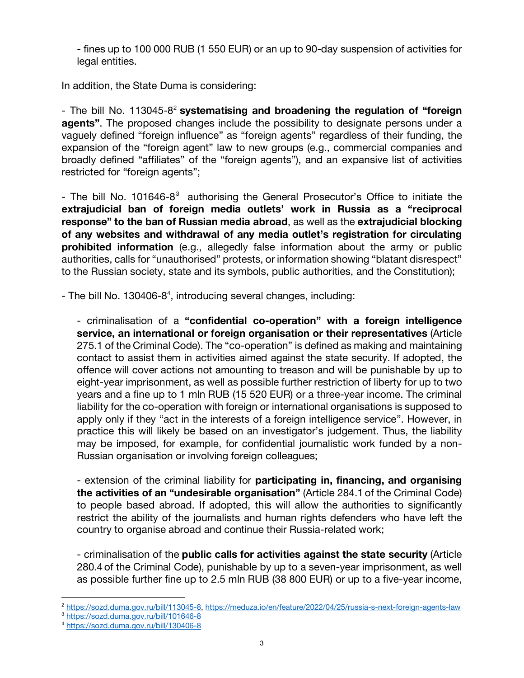- fines up to 100 000 RUB (1 550 EUR) or an up to 90-day suspension of activities for legal entities.

In addition, the State Duma is considering:

- The bill No. 113045-82 **systematising and broadening the regulation of "foreign agents"**. The proposed changes include the possibility to designate persons under a vaguely defined "foreign influence" as "foreign agents" regardless of their funding, the expansion of the "foreign agent" law to new groups (e.g., commercial companies and broadly defined "affiliates" of the "foreign agents"), and an expansive list of activities restricted for "foreign agents";

- The bill No. 101646-8 $3$  authorising the General Prosecutor's Office to initiate the **extrajudicial ban of foreign media outlets' work in Russia as a "reciprocal response" to the ban of Russian media abroad**, as well as the **extrajudicial blocking of any websites and withdrawal of any media outlet's registration for circulating prohibited information** (e.g., allegedly false information about the army or public authorities, calls for "unauthorised" protests, or information showing "blatant disrespect" to the Russian society, state and its symbols, public authorities, and the Constitution);

- The bill No. 130406-8<sup>4</sup>, introducing several changes, including:

- criminalisation of a **"confidential co-operation" with a foreign intelligence service, an international or foreign organisation or their representatives** (Article 275.1 of the Criminal Code). The "co-operation" is defined as making and maintaining contact to assist them in activities aimed against the state security. If adopted, the offence will cover actions not amounting to treason and will be punishable by up to eight-year imprisonment, as well as possible further restriction of liberty for up to two years and a fine up to 1 mln RUB (15 520 EUR) or a three-year income. The criminal liability for the co-operation with foreign or international organisations is supposed to apply only if they "act in the interests of a foreign intelligence service". However, in practice this will likely be based on an investigator's judgement. Thus, the liability may be imposed, for example, for confidential journalistic work funded by a non-Russian organisation or involving foreign colleagues;

- extension of the criminal liability for **participating in, financing, and organising the activities of an "undesirable organisation"** (Article 284.1 of the Criminal Code) to people based abroad. If adopted, this will allow the authorities to significantly restrict the ability of the journalists and human rights defenders who have left the country to organise abroad and continue their Russia-related work;

- criminalisation of the **public calls for activities against the state security** (Article 280.4 of the Criminal Code), punishable by up to a seven-year imprisonment, as well as possible further fine up to 2.5 mln RUB (38 800 EUR) or up to a five-year income,

<sup>&</sup>lt;sup>2</sup> https://sozd.duma.gov.ru/bill/113045-8, https://meduza.io/en/feature/2022/04/25/russia-s-next-foreign-agents-law

<sup>3</sup> https://sozd.duma.gov.ru/bill/101646-8

<sup>4</sup> https://sozd.duma.gov.ru/bill/130406-8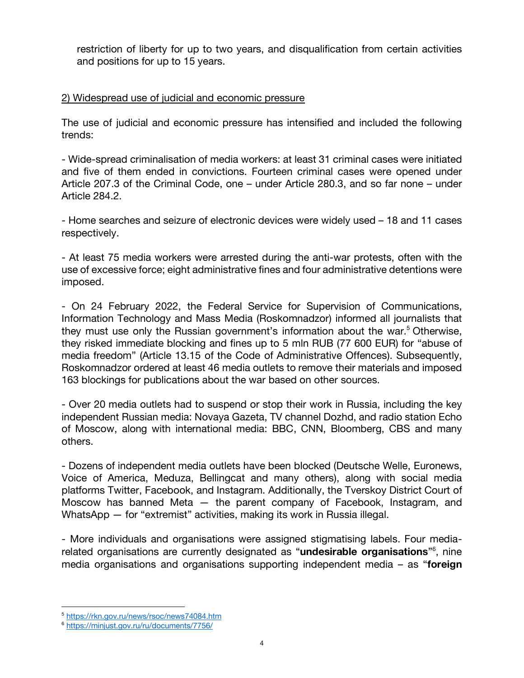restriction of liberty for up to two years, and disqualification from certain activities and positions for up to 15 years.

#### 2) Widespread use of judicial and economic pressure

The use of judicial and economic pressure has intensified and included the following trends:

- Wide-spread criminalisation of media workers: at least 31 criminal cases were initiated and five of them ended in convictions. Fourteen criminal cases were opened under Article 207.3 of the Criminal Code, one – under Article 280.3, and so far none – under Article 284.2.

- Home searches and seizure of electronic devices were widely used – 18 and 11 cases respectively.

- At least 75 media workers were arrested during the anti-war protests, often with the use of excessive force; eight administrative fines and four administrative detentions were imposed.

- On 24 February 2022, the Federal Service for Supervision of Communications, Information Technology and Mass Media (Roskomnadzor) informed all journalists that they must use only the Russian government's information about the war.<sup>5</sup> Otherwise, they risked immediate blocking and fines up to 5 mln RUB (77 600 EUR) for "abuse of media freedom" (Article 13.15 of the Code of Administrative Offences). Subsequently, Roskomnadzor ordered at least 46 media outlets to remove their materials and imposed 163 blockings for publications about the war based on other sources.

- Over 20 media outlets had to suspend or stop their work in Russia, including the key independent Russian media: Novaya Gazeta, TV channel Dozhd, and radio station Echo of Moscow, along with international media: BBC, CNN, Bloomberg, CBS and many others.

- Dozens of independent media outlets have been blocked (Deutsche Welle, Euronews, Voice of America, Meduza, Bellingcat and many others), along with social media platforms Twitter, Facebook, and Instagram. Additionally, the Tverskoy District Court of Moscow has banned Meta — the parent company of Facebook, Instagram, and WhatsApp – for "extremist" activities, making its work in Russia illegal.

- More individuals and organisations were assigned stigmatising labels. Four mediarelated organisations are currently designated as "**undesirable organisations**"6 , nine media organisations and organisations supporting independent media – as "**foreign**

<sup>5</sup> https://rkn.gov.ru/news/rsoc/news74084.htm

<sup>6</sup> https://minjust.gov.ru/ru/documents/7756/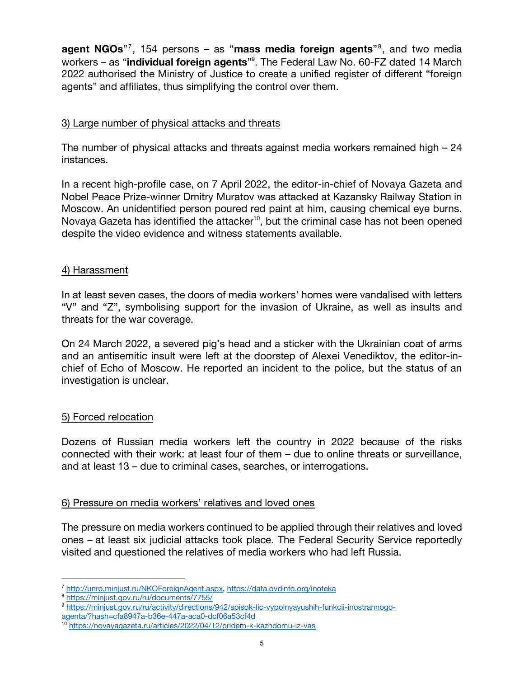**agent NGOs**"7 , 154 persons – as "**mass media foreign agents**"8 , and two media workers – as "**individual foreign agents**" 9 . The Federal Law No. 60-FZ dated 14 March 2022 authorised the Ministry of Justice to create a unified register of different "foreign agents" and affiliates, thus simplifying the control over them.

# 3) Large number of physical attacks and threats

The number of physical attacks and threats against media workers remained high – 24 instances.

In a recent high-profile case, on 7 April 2022, the editor-in-chief of Novaya Gazeta and Nobel Peace Prize-winner Dmitry Muratov was attacked at Kazansky Railway Station in Moscow. An unidentified person poured red paint at him, causing chemical eye burns. Novaya Gazeta has identified the attacker<sup>10</sup>, but the criminal case has not been opened despite the video evidence and witness statements available.

# 4) Harassment

In at least seven cases, the doors of media workers' homes were vandalised with letters "V" and "Z", symbolising support for the invasion of Ukraine, as well as insults and threats for the war coverage.

On 24 March 2022, a severed pig's head and a sticker with the Ukrainian coat of arms and an antisemitic insult were left at the doorstep of Alexei Venediktov, the editor-inchief of Echo of Moscow. He reported an incident to the police, but the status of an investigation is unclear.

# 5) Forced relocation

Dozens of Russian media workers left the country in 2022 because of the risks connected with their work: at least four of them – due to online threats or surveillance, and at least 13 – due to criminal cases, searches, or interrogations.

# 6) Pressure on media workers' relatives and loved ones

The pressure on media workers continued to be applied through their relatives and loved ones – at least six judicial attacks took place. The Federal Security Service reportedly visited and questioned the relatives of media workers who had left Russia.

<sup>7</sup> http://unro.minjust.ru/NKOForeignAgent.aspx, https://data.ovdinfo.org/inoteka

<sup>8</sup> https://minjust.gov.ru/ru/documents/7755/

<sup>9</sup> https://minjust.gov.ru/ru/activity/directions/942/spisok-lic-vypolnyayushih-funkcii-inostrannogoagenta/?hash=cfa8947a-b36e-447a-aca0-dcf06a53cf4d

<sup>10</sup> https://novayagazeta.ru/articles/2022/04/12/pridem-k-kazhdomu-iz-vas